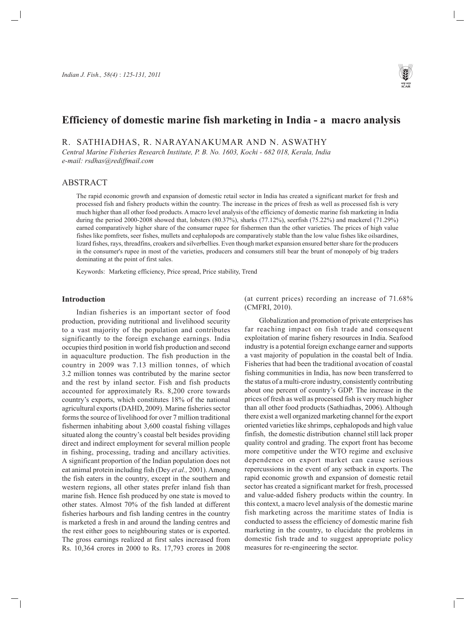

# **Efficiency of domestic marine fish marketing in India - a macro analysis**

R. SATHIADHAS, R. NARAYANAKUMAR AND N. ASWATHY

*Central Marine Fisheries Research Institute, P. B. No. 1603, Kochi - 682 018, Kerala, India e-mail: rsdhas@rediffmail.com*

# ABSTRACT

The rapid economic growth and expansion of domestic retail sector in India has created a significant market for fresh and processed fish and fishery products within the country. The increase in the prices of fresh as well as processed fish is very much higher than all other food products. A macro level analysis of the efficiency of domestic marine fish marketing in India during the period 2000-2008 showed that, lobsters (80.37%), sharks (77.12%), seerfish (75.22%) and mackerel (71.29%) earned comparatively higher share of the consumer rupee for fishermen than the other varieties. The prices of high value fishes like pomfrets, seer fishes, mullets and cephalopods are comparatively stable than the low value fishes like oilsardines, lizard fishes, rays, threadfins, croakers and silverbellies. Even though market expansion ensured better share for the producers in the consumer's rupee in most of the varieties, producers and consumers still bear the brunt of monopoly of big traders dominating at the point of first sales.

Keywords: Marketing efficiency, Price spread, Price stability, Trend

## **Introduction**

Indian fisheries is an important sector of food production, providing nutritional and livelihood security to a vast majority of the population and contributes significantly to the foreign exchange earnings. India occupies third position in world fish production and second in aquaculture production. The fish production in the country in 2009 was 7.13 million tonnes, of which 3.2 million tonnes was contributed by the marine sector and the rest by inland sector. Fish and fish products accounted for approximately Rs. 8,200 crore towards country's exports, which constitutes 18% of the national agricultural exports (DAHD, 2009). Marine fisheries sector forms the source of livelihood for over 7 million traditional fishermen inhabiting about 3,600 coastal fishing villages situated along the country's coastal belt besides providing direct and indirect employment for several million people in fishing, processing, trading and ancillary activities. A significant proportion of the Indian population does not eat animal protein including fish (Dey *et al.,* 2001). Among the fish eaters in the country, except in the southern and western regions, all other states prefer inland fish than marine fish. Hence fish produced by one state is moved to other states. Almost 70% of the fish landed at different fisheries harbours and fish landing centres in the country is marketed a fresh in and around the landing centres and the rest either goes to neighbouring states or is exported. The gross earnings realized at first sales increased from Rs. 10,364 crores in 2000 to Rs. 17,793 crores in 2008

(at current prices) recording an increase of 71.68% (CMFRI, 2010).

Globalization and promotion of private enterprises has far reaching impact on fish trade and consequent exploitation of marine fishery resources in India. Seafood industry is a potential foreign exchange earner and supports a vast majority of population in the coastal belt of India. Fisheries that had been the traditional avocation of coastal fishing communities in India, has now been transferred to the status of a multi-crore industry, consistently contributing about one percent of country's GDP. The increase in the prices of fresh as well as processed fish is very much higher than all other food products (Sathiadhas, 2006). Although there exist a well organized marketing channel for the export oriented varieties like shrimps, cephalopods and high value finfish, the domestic distribution channel still lack proper quality control and grading. The export front has become more competitive under the WTO regime and exclusive dependence on export market can cause serious repercussions in the event of any setback in exports. The rapid economic growth and expansion of domestic retail sector has created a significant market for fresh, processed and value-added fishery products within the country. In this context, a macro level analysis of the domestic marine fish marketing across the maritime states of India is conducted to assess the efficiency of domestic marine fish marketing in the country, to elucidate the problems in domestic fish trade and to suggest appropriate policy measures for re-engineering the sector.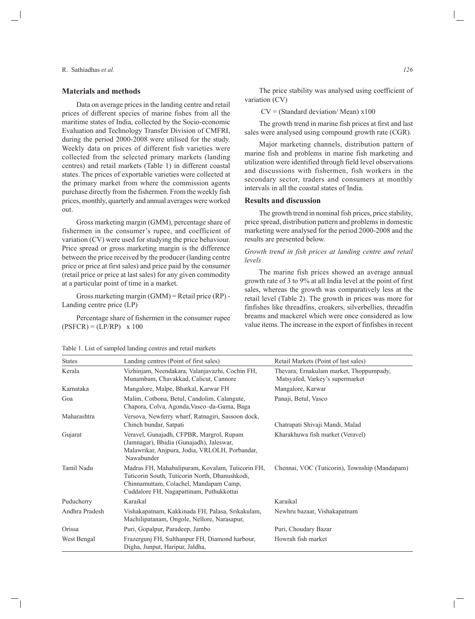## **Materials and methods**

Data on average prices in the landing centre and retail prices of different species of marine fishes from all the maritime states of India, collected by the Socio-economic Evaluation and Technology Transfer Division of CMFRI, during the period 2000-2008 were utilised for the study. Weekly data on prices of different fish varieties were collected from the selected primary markets (landing centres) and retail markets (Table 1) in different coastal states. The prices of exportable varieties were collected at the primary market from where the commission agents purchase directly from the fishermen. From the weekly fish prices, monthly, quarterly and annual averages were worked out.

Gross marketing margin (GMM), percentage share of fishermen in the consumer's rupee, and coefficient of variation (CV) were used for studying the price behaviour. Price spread or gross marketing margin is the difference between the price received by the producer (landing centre price or price at first sales) and price paid by the consumer (retail price or price at last sales) for any given commodity at a particular point of time in a market.

Gross marketing margin (GMM) = Retail price (RP) - Landing centre price (LP)

Percentage share of fishermen in the consumer rupee  $(PSFCR) = (LP/RP)$  x 100

The price stability was analysed using coefficient of variation (CV)

 $CV = (Standard deviation/Mean) \times 100$ 

The growth trend in marine fish prices at first and last sales were analysed using compound growth rate (CGR).

Major marketing channels, distribution pattern of marine fish and problems in marine fish marketing and utilization were identified through field level observations and discussions with fishermen, fish workers in the secondary sector, traders and consumers at monthly intervals in all the coastal states of India.

# **Results and discussion**

The growth trend in nominal fish prices, price stability, price spread, distribution pattern and problems in domestic marketing were analysed for the period 2000-2008 and the results are presented below.

# *Growth trend in fish prices at landing centre and retail levels*

The marine fish prices showed an average annual growth rate of 3 to 9% at all India level at the point of first sales, whereas the growth was comparatively less at the retail level (Table 2). The growth in prices was more for finfishes like threadfins, croakers, silverbellies, threadfin breams and mackerel which were once considered as low value items. The increase in the export of finfishes in recent

| <b>States</b>  | Landing centres (Point of first sales)                                                                                                                                                   | Retail Markets (Point of last sales)                                       |
|----------------|------------------------------------------------------------------------------------------------------------------------------------------------------------------------------------------|----------------------------------------------------------------------------|
| Kerala         | Vizhinjam, Neendakara, Valanjavazhi, Cochin FH,<br>Munambam, Chavakkad, Calicut, Cannore                                                                                                 | Thevara, Ernakulam market, Thoppumpady,<br>Matsyafed, Varkey's supermarket |
| Karnataka      | Mangalore, Malpe, Bhatkal, Karwar FH                                                                                                                                                     | Mangalore, Karwar                                                          |
| Goa            | Malim, Cotbona, Betul, Candolim, Calangute,<br>Chapora, Colva, Agonda, Vasco-da-Gama, Baga                                                                                               | Panaji, Betul, Vasco                                                       |
| Maharashtra    | Versova, Newferry wharf, Ratnagiri, Sassoon dock,<br>Chinch bundar, Satpati                                                                                                              | Chatrapati Shivaji Mandi, Malad                                            |
| Gujarat        | Veravel, Gunajadh, CFPBR, Margrol, Rupam<br>(Jamnagar), Bhidia (Gunajadh), Jaleswar,<br>Malawrikar, Anjpura, Jodia, VRLOLH, Porbandar,<br>Nawabunder                                     | Kharakhuwa fish market (Veravel)                                           |
| Tamil Nadu     | Madras FH, Mahabalipuram, Kovalam, Tuticorin FH,<br>Tuticorin South, Tuticorin North, Dhanushkodi,<br>Chinnamuttam, Colachel, Mandapam Camp,<br>Cuddalore FH, Nagapattinam, Puthukkottai | Chennai, VOC (Tuticorin), Township (Mandapam)                              |
| Puducherry     | Karaikal                                                                                                                                                                                 | Karaikal                                                                   |
| Andhra Pradesh | Vishakapatnam, Kakkinada FH, Palasa, Srikakulam,<br>Machilipatanam, Ongole, Nellore, Narasapur,                                                                                          | Newhru bazaar, Vishakapatnam                                               |
| Orissa         | Puri, Gopalpur, Paradeep, Jambo                                                                                                                                                          | Puri, Choudary Bazar                                                       |
| West Bengal    | Frazerguni FH, Sulthanpur FH, Diamond harbour,<br>Digha, Junput, Haripur, Jaldha,                                                                                                        | Howrah fish market                                                         |

Table 1. List of sampled landing centres and retail markets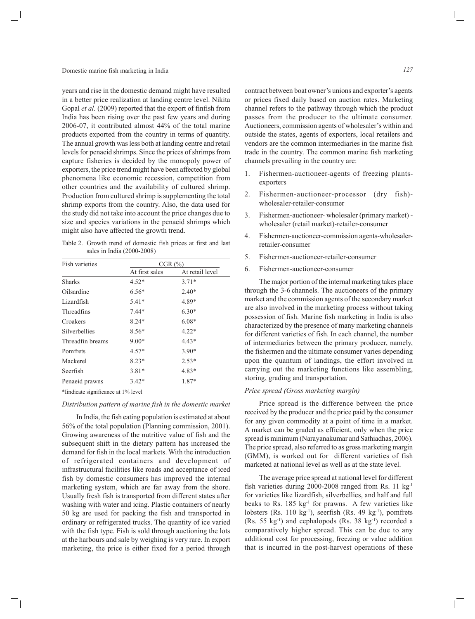years and rise in the domestic demand might have resulted in a better price realization at landing centre level. Nikita Gopal *et al.* (2009) reported that the export of finfish from India has been rising over the past few years and during 2006-07, it contributed almost 44% of the total marine products exported from the country in terms of quantity. The annual growth was less both at landing centre and retail levels for penaeid shrimps. Since the prices of shrimps from capture fisheries is decided by the monopoly power of exporters, the price trend might have been affected by global phenomena like economic recession, competition from other countries and the availability of cultured shrimp. Production from cultured shrimp is supplementing the total shrimp exports from the country. Also, the data used for the study did not take into account the price changes due to size and species variations in the penaeid shrimps which might also have affected the growth trend.

Table 2. Growth trend of domestic fish prices at first and last sales in India (2000-2008)

| <b>Fish varieties</b> | $CGR$ $(\%)$   |                 |  |  |  |
|-----------------------|----------------|-----------------|--|--|--|
|                       | At first sales | At retail level |  |  |  |
| <b>Sharks</b>         | $4.52*$        | $3.71*$         |  |  |  |
| Oilsardine            | $6.56*$        | $2.40*$         |  |  |  |
| Lizardfish            | $5.41*$        | 4.89*           |  |  |  |
| <b>Threadfins</b>     | $7.44*$        | $6.30*$         |  |  |  |
| Croakers              | $8.24*$        | $6.08*$         |  |  |  |
| <b>Silverbellies</b>  | $8.56*$        | $4.22*$         |  |  |  |
| Threadfin breams      | $9.00*$        | $4.43*$         |  |  |  |
| Pomfrets              | $4.57*$        | $3.90*$         |  |  |  |
| Mackerel              | $8.23*$        | $2.53*$         |  |  |  |
| Seerfish              | $3.81*$        | 4.83*           |  |  |  |
| Penaeid prawns        | $3.42*$        | 1.87*           |  |  |  |

\*Iindicate significance at 1% level

*Distribution pattern of marine fish in the domestic market*

In India, the fish eating population is estimated at about 56% of the total population (Planning commission, 2001). Growing awareness of the nutritive value of fish and the subsequent shift in the dietary pattern has increased the demand for fish in the local markets. With the introduction of refrigerated containers and development of infrastructural facilities like roads and acceptance of iced fish by domestic consumers has improved the internal marketing system, which are far away from the shore. Usually fresh fish is transported from different states after washing with water and icing. Plastic containers of nearly 50 kg are used for packing the fish and transported in ordinary or refrigerated trucks. The quantity of ice varied with the fish type. Fish is sold through auctioning the lots at the harbours and sale by weighing is very rare. In export marketing, the price is either fixed for a period through

contract between boat owner's unions and exporter's agents or prices fixed daily based on auction rates. Marketing channel refers to the pathway through which the product passes from the producer to the ultimate consumer. Auctioneers, commission agents of wholesaler's within and outside the states, agents of exporters, local retailers and vendors are the common intermediaries in the marine fish trade in the country. The common marine fish marketing channels prevailing in the country are:

- 1. Fishermen-auctioneer-agents of freezing plantsexporters
- 2. Fishermen-auctioneer-processor (dry fish) wholesaler-retailer-consumer
- 3. Fishermen-auctioneer- wholesaler (primary market) wholesaler (retail market)-retailer-consumer
- 4. Fishermen-auctioneer-commission agents-wholesalerretailer-consumer
- 5. Fishermen-auctioneer-retailer-consumer
- 6. Fishermen-auctioneer-consumer

The major portion of the internal marketing takes place through the 3-6 channels. The auctioneers of the primary market and the commission agents of the secondary market are also involved in the marketing process without taking possession of fish. Marine fish marketing in India is also characterized by the presence of many marketing channels for different varieties of fish. In each channel, the number of intermediaries between the primary producer, namely, the fishermen and the ultimate consumer varies depending upon the quantum of landings, the effort involved in carrying out the marketing functions like assembling, storing, grading and transportation.

#### *Price spread (Gross marketing margin)*

Price spread is the difference between the price received by the producer and the price paid by the consumer for any given commodity at a point of time in a market. A market can be graded as efficient, only when the price spread is minimum (Narayanakumar and Sathiadhas, 2006). The price spread, also referred to as gross marketing margin (GMM), is worked out for different varieties of fish marketed at national level as well as at the state level.

The average price spread at national level for different fish varieties during 2000-2008 ranged from Rs. 11 kg-1 for varieties like lizardfish, silverbellies, and half and full beaks to Rs. 185 kg<sup>-1</sup> for prawns. A few varieties like lobsters (Rs. 110 kg<sup>-1</sup>), seerfish (Rs. 49 kg<sup>-1</sup>), pomfrets (Rs. 55 kg-1) and cephalopods (Rs. 38 kg-1) recorded a comparatively higher spread. This can be due to any additional cost for processing, freezing or value addition that is incurred in the post-harvest operations of these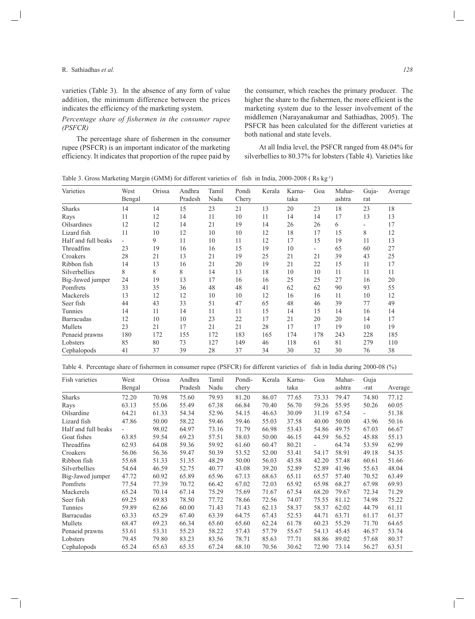varieties (Table 3). In the absence of any form of value addition, the minimum difference between the prices indicates the efficiency of the marketing system.

# *Percentage share of fishermen in the consumer rupee (PSFCR)*

The percentage share of fishermen in the consumer rupee (PSFCR) is an important indicator of the marketing efficiency. It indicates that proportion of the rupee paid by the consumer, which reaches the primary producer. The higher the share to the fishermen, the more efficient is the marketing system due to the lesser involvement of the middlemen (Narayanakumar and Sathiadhas, 2005). The PSFCR has been calculated for the different varieties at both national and state levels.

At all India level, the PSFCR ranged from 48.04% for silverbellies to 80.37% for lobsters (Table 4). Varieties like

| Varieties           | West<br>Bengal | Orissa | Andhra<br>Pradesh | Tamil<br>Nadu | Pondi<br>Chery | Kerala | Karna-<br>taka | Goa | Mahar-<br>ashtra | Guja-<br>rat             | Average |
|---------------------|----------------|--------|-------------------|---------------|----------------|--------|----------------|-----|------------------|--------------------------|---------|
| <b>Sharks</b>       | 14             | 14     | 15                | 23            | 21             | 13     | 20             | 23  | 18               | 23                       | 18      |
| Rays                | 11             | 12     | 14                | 11            | 10             | 11     | 14             | 14  | 17               | 13                       | 13      |
| <b>Oilsardines</b>  | 12             | 12     | 14                | 21            | 19             | 14     | 26             | 26  | 6                | $\overline{\phantom{0}}$ | 17      |
| Lizard fish         | 11             | 10     | 12                | 10            | 10             | 12     | 18             | 17  | 15               | 8                        | 12      |
| Half and full beaks |                | 9      | 11                | 10            | 11             | 12     | 17             | 15  | 19               | 11                       | 13      |
| Threadfins          | 23             | 19     | 16                | 16            | 15             | 19     | 10             | -   | 65               | 60                       | 27      |
| Croakers            | 28             | 21     | 13                | 21            | 19             | 25     | 21             | 21  | 39               | 43                       | 25      |
| Ribbon fish         | 14             | 13     | 16                | 21            | 20             | 19     | 21             | 22  | 15               | 11                       | 17      |
| Silverbellies       | 8              | 8      | 8                 | 14            | 13             | 18     | 10             | 10  | 11               | 11                       | 11      |
| Big-Jawed jumper    | 24             | 19     | 13                | 17            | 16             | 16     | 25             | 25  | 27               | 16                       | 20      |
| Pomfrets            | 33             | 35     | 36                | 48            | 48             | 41     | 62             | 62  | 90               | 93                       | 55      |
| Mackerels           | 13             | 12     | 12                | 10            | 10             | 12     | 16             | 16  | 11               | 10                       | 12      |
| Seer fish           | 44             | 43     | 33                | 51            | 47             | 65     | 48             | 46  | 39               | 77                       | 49      |
| Tunnies             | 14             | 11     | 14                | 11            | 11             | 15     | 14             | 15  | 14               | 16                       | 14      |
| <b>Barracudas</b>   | 12             | 10     | 10                | 23            | 22             | 17     | 21             | 20  | 20               | 14                       | 17      |
| Mullets             | 23             | 21     | 17                | 21            | 21             | 28     | 17             | 17  | 19               | 10                       | 19      |
| Penaeid prawns      | 180            | 172    | 155               | 172           | 183            | 165    | 174            | 178 | 243              | 228                      | 185     |
| Lobsters            | 85             | 80     | 73                | 127           | 149            | 46     | 118            | 61  | 81               | 279                      | 110     |
| Cephalopods         | 41             | 37     | 39                | 28            | 37             | 34     | 30             | 32  | 30               | 76                       | 38      |

|  |  |  | Table 4. Percentage share of fishermen in consumer rupee (PSFCR) for different varieties of fish in India during 2000-08 (%) |  |  |  |  |  |
|--|--|--|------------------------------------------------------------------------------------------------------------------------------|--|--|--|--|--|
|--|--|--|------------------------------------------------------------------------------------------------------------------------------|--|--|--|--|--|

| Fish varieties       | West<br>Bengal           | Orissa | Andhra<br>Pradesh | Tamil<br>Nadu | Pondi-<br>chery | Kerala | Karna-<br>taka | Goa   | Mahar-<br>ashtra | Guja<br>-rat | Average |
|----------------------|--------------------------|--------|-------------------|---------------|-----------------|--------|----------------|-------|------------------|--------------|---------|
| <b>Sharks</b>        | 72.20                    | 70.98  | 75.60             | 79.93         | 81.20           | 86.07  | 77.65          | 73.33 | 79.47            | 74.80        | 77.12   |
| Rays                 | 63.13                    | 55.06  | 55.49             | 67.38         | 66.84           | 70.40  | 56.70          | 59.26 | 55.95            | 50.26        | 60.05   |
| Oilsardine           | 64.21                    | 61.33  | 54.34             | 52.96         | 54.15           | 46.63  | 30.09          | 31.19 | 67.54            |              | 51.38   |
| Lizard fish          | 47.86                    | 50.00  | 58.22             | 59.46         | 59.46           | 55.03  | 37.58          | 40.00 | 50.00            | 43.96        | 50.16   |
| Half and full beaks  | $\overline{\phantom{a}}$ | 98.02  | 64.97             | 73.16         | 71.79           | 66.98  | 53.43          | 54.86 | 49.75            | 67.03        | 66.67   |
| Goat fishes          | 63.85                    | 59.54  | 69.23             | 57.51         | 58.03           | 50.00  | 46.15          | 44.59 | 56.52            | 45.88        | 55.13   |
| Threadfins           | 62.93                    | 64.08  | 59.36             | 59.92         | 61.60           | 60.47  | 80.21          |       | 64.74            | 53.59        | 62.99   |
| Croakers             | 56.06                    | 56.36  | 59.47             | 50.39         | 53.52           | 52.00  | 53.41          | 54.17 | 58.91            | 49.18        | 54.35   |
| Ribbon fish          | 55.68                    | 51.33  | 51.35             | 48.29         | 50.00           | 56.03  | 43.58          | 42.20 | 57.48            | 60.61        | 51.66   |
| <b>Silverbellies</b> | 54.64                    | 46.59  | 52.75             | 40.77         | 43.08           | 39.20  | 52.89          | 52.89 | 41.96            | 55.63        | 48.04   |
| Big-Jawed jumper     | 47.72                    | 60.92  | 65.89             | 65.96         | 67.13           | 68.63  | 65.11          | 65.57 | 57.40            | 70.52        | 63.49   |
| Pomfrets             | 77.54                    | 77.39  | 70.72             | 66.42         | 67.02           | 72.03  | 65.92          | 65.98 | 68.27            | 67.98        | 69.93   |
| Mackerels            | 65.24                    | 70.14  | 67.14             | 75.29         | 75.69           | 71.67  | 67.54          | 68.20 | 79.67            | 72.34        | 71.29   |
| Seer fish            | 69.25                    | 69.83  | 78.50             | 77.72         | 78.66           | 72.56  | 74.07          | 75.55 | 81.12            | 74.98        | 75.22   |
| Tunnies              | 59.89                    | 62.66  | 60.00             | 71.43         | 71.43           | 62.13  | 58.37          | 58.37 | 62.02            | 44.79        | 61.11   |
| <b>Barracudas</b>    | 63.33                    | 65.29  | 67.40             | 63.39         | 64.75           | 67.43  | 52.53          | 44.71 | 63.71            | 61.17        | 61.37   |
| Mullets              | 68.47                    | 69.23  | 66.34             | 65.60         | 65.60           | 62.24  | 61.78          | 60.23 | 55.29            | 71.70        | 64.65   |
| Penaeid prawns       | 53.61                    | 53.31  | 55.23             | 58.22         | 57.43           | 57.79  | 55.67          | 54.13 | 45.45            | 46.57        | 53.74   |
| Lobsters             | 79.45                    | 79.80  | 83.23             | 83.56         | 78.71           | 85.63  | 77.71          | 88.86 | 89.02            | 57.68        | 80.37   |
| Cephalopods          | 65.24                    | 65.63  | 65.35             | 67.24         | 68.10           | 70.56  | 30.62          | 72.90 | 73.14            | 56.27        | 63.51   |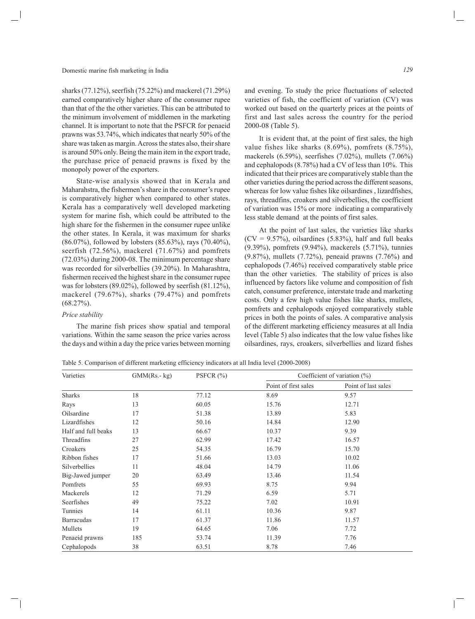sharks (77.12%), seerfish (75.22%) and mackerel (71.29%) earned comparatively higher share of the consumer rupee than that of the the other varieties. This can be attributed to the minimum involvement of middlemen in the marketing channel. It is important to note that the PSFCR for penaeid prawns was 53.74%, which indicates that nearly 50% of the share was taken as margin. Across the states also, their share is around 50% only. Being the main item in the export trade, the purchase price of penaeid prawns is fixed by the monopoly power of the exporters.

State-wise analysis showed that in Kerala and Maharahstra, the fishermen's share in the consumer's rupee is comparatively higher when compared to other states. Kerala has a comparatively well developed marketing system for marine fish, which could be attributed to the high share for the fishermen in the consumer rupee unlike the other states. In Kerala, it was maximum for sharks (86.07%), followed by lobsters (85.63%), rays (70.40%), seerfish (72.56%), mackerel (71.67%) and pomfrets (72.03%) during 2000-08. The minimum percentage share was recorded for silverbellies (39.20%). In Maharashtra, fishermen received the highest share in the consumer rupee was for lobsters (89.02%), followed by seerfish (81.12%), mackerel (79.67%), sharks (79.47%) and pomfrets  $(68.27\%)$ .

#### *Price stability*

The marine fish prices show spatial and temporal variations. Within the same season the price varies across the days and within a day the price varies between morning and evening. To study the price fluctuations of selected varieties of fish, the coefficient of variation (CV) was worked out based on the quarterly prices at the points of first and last sales across the country for the period 2000-08 (Table 5).

It is evident that, at the point of first sales, the high value fishes like sharks (8.69%), pomfrets (8.75%), mackerels (6.59%), seerfishes (7.02%), mullets (7.06%) and cephalopods (8.78%) had a CV of less than 10%. This indicated that their prices are comparatively stable than the other varieties during the period across the different seasons, whereas for low value fishes like oilsardines , lizardfishes, rays, threadfins, croakers and silverbellies, the coefficient of variation was 15% or more indicating a comparatively less stable demand at the points of first sales.

At the point of last sales, the varieties like sharks  $(CV = 9.57\%)$ , oilsardines (5.83%), half and full beaks (9.39%), pomfrets (9.94%), mackerels (5.71%), tunnies (9.87%), mullets (7.72%), peneaid prawns (7.76%) and cephalopods (7.46%) received comparatively stable price than the other varieties. The stability of prices is also influenced by factors like volume and composition of fish catch, consumer preference, interstate trade and marketing costs. Only a few high value fishes like sharks, mullets, pomfrets and cephalopods enjoyed comparatively stable prices in both the points of sales. A comparative analysis of the different marketing efficiency measures at all India level (Table 5) also indicates that the low value fishes like oilsardines, rays, croakers, silverbellies and lizard fishes

Table 5. Comparison of different marketing efficiency indicators at all India level (2000-2008)

| Varieties           | $GMM(Rs.-kg)$ | PSFCR $(\%)$ | Coefficient of variation $(\%)$ |                     |  |  |
|---------------------|---------------|--------------|---------------------------------|---------------------|--|--|
|                     |               |              | Point of first sales            | Point of last sales |  |  |
| <b>Sharks</b>       | 18            | 77.12        | 8.69                            | 9.57                |  |  |
| Rays                | 13            | 60.05        | 15.76                           | 12.71               |  |  |
| Oilsardine          | 17            | 51.38        | 13.89                           | 5.83                |  |  |
| Lizardfishes        | 12            | 50.16        | 14.84                           | 12.90               |  |  |
| Half and full beaks | 13            | 66.67        | 10.37                           | 9.39                |  |  |
| Threadfins          | 27            | 62.99        | 17.42                           | 16.57               |  |  |
| Croakers            | 25            | 54.35        | 16.79                           | 15.70               |  |  |
| Ribbon fishes       | 17            | 51.66        | 13.03                           | 10.02               |  |  |
| Silverbellies       | 11            | 48.04        | 14.79                           | 11.06               |  |  |
| Big-Jawed jumper    | 20            | 63.49        | 13.46                           | 11.54               |  |  |
| Pomfrets            | 55            | 69.93        | 8.75                            | 9.94                |  |  |
| Mackerels           | 12            | 71.29        | 6.59                            | 5.71                |  |  |
| Seerfishes          | 49            | 75.22        | 7.02                            | 10.91               |  |  |
| Tunnies             | 14            | 61.11        | 10.36                           | 9.87                |  |  |
| <b>Barracudas</b>   | 17            | 61.37        | 11.86                           | 11.57               |  |  |
| Mullets             | 19            | 64.65        | 7.06                            | 7.72                |  |  |
| Penaeid prawns      | 185           | 53.74        | 11.39                           | 7.76                |  |  |
| Cephalopods         | 38            | 63.51        | 8.78                            | 7.46                |  |  |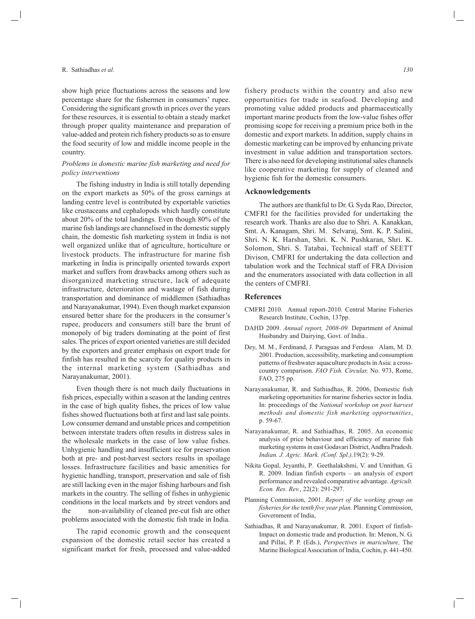show high price fluctuations across the seasons and low percentage share for the fishermen in consumers' rupee. Considering the significant growth in prices over the years for these resources, it is essential to obtain a steady market through proper quality maintenance and preparation of value-added and protein rich fishery products so as to ensure the food security of low and middle income people in the country.

### *Problems in domestic marine fish marketing and need for policy interventions*

The fishing industry in India is still totally depending on the export markets as 50% of the gross earnings at landing centre level is contributed by exportable varieties like crustaceans and cephalopods which hardly constitute about 20% of the total landings. Even though 80% of the marine fish landings are channelised in the domestic supply chain, the domestic fish marketing system in India is not well organized unlike that of agriculture, horticulture or livestock products. The infrastructure for marine fish marketing in India is principally oriented towards export market and suffers from drawbacks among others such as disorganized marketing structure, lack of adequate infrastructure, deterioration and wastage of fish during transportation and dominance of middlemen (Sathiadhas and Narayanakumar, 1994). Even though market expansion ensured better share for the producers in the consumer's rupee, producers and consumers still bare the brunt of monopoly of big traders dominating at the point of first sales. The prices of export oriented varieties are still decided by the exporters and greater emphasis on export trade for finfish has resulted in the scarcity for quality products in the internal marketing system (Sathiadhas and Narayanakumar, 2001).

Even though there is not much daily fluctuations in fish prices, especially within a season at the landing centres in the case of high quality fishes, the prices of low value fishes showed fluctuations both at first and last sale points. Low consumer demand and unstable prices and competition between interstate traders often results in distress sales in the wholesale markets in the case of low value fishes. Unhygienic handling and insufficient ice for preservation both at pre- and post-harvest sectors results in spoilage losses. Infrastructure facilities and basic amenities for hygienic handling, transport, preservation and sale of fish are still lacking even in the major fishing harbours and fish markets in the country. The selling of fishes in unhygienic conditions in the local markets and by street vendors and the non-availability of cleaned pre-cut fish are other problems associated with the domestic fish trade in India.

The rapid economic growth and the consequent expansion of the domestic retail sector has created a significant market for fresh, processed and value-added

fishery products within the country and also new opportunities for trade in seafood. Developing and promoting value added products and pharmaceutically important marine products from the low-value fishes offer promising scope for receiving a premium price both in the domestic and export markets. In addition, supply chains in domestic marketing can be improved by enhancing private investment in value addition and transportation sectors. There is also need for developing institutional sales channels like cooperative marketing for supply of cleaned and hygienic fish for the domestic consumers.

## **Acknowledgements**

The authors are thankful to Dr. G. Syda Rao, Director, CMFRI for the facilities provided for undertaking the research work. Thanks are also due to Shri. A. Kanakkan, Smt. A. Kanagam, Shri. M. Selvaraj, Smt. K. P. Salini, Shri. N. K. Harshan, Shri. K. N. Pushkaran, Shri. K. Solomon, Shri. S. Tatabai, Technical staff of SEETT Divison, CMFRI for undertaking the data collection and tabulation work and the Technical staff of FRA Division and the enumerators associated with data collection in all the centers of CMFRI.

#### **References**

- CMFRI 2010. Annual report-2010. Central Marine Fisheries Research Institute, Cochin, 137pp.
- DAHD 2009. *Annual report, 2008-09.* Department of Animal Husbandry and Dairying, Govt. of India..
- Dey, M. M., Ferdinand, J. Paraguas and Ferdous Alam, M. D. 2001. Production, accessibility, marketing and consumption patterns of freshwater aquaculture products in Asia: a crosscountry comparison. *FAO Fish. Circular,* No. 973, Rome, FAO, 275 pp.
- Narayanakumar, R. and Sathiadhas, R. 2006, Domestic fish marketing opportunities for marine fisheries sector in India. In: proceedings of the *National workshop on post harvest methods and domestic fish marketing opportunities*, p. 59-67.
- Narayanakumar, R. and Sathiadhas, R. 2005. An economic analysis of price behaviour and efficiency of marine fish marketing systems in east Godavari District, Andhra Pradesh. *Indian. J. Agric. Mark. (Conf. Spl.),*19(2): 9-29.
- Nikita Gopal, Jeyanthi, P. Geethalakshmi, V. and Unnithan*,* G. R. 2009. Indian finfish exports – an analysis of export performance and revealed comparative advantage. *Agricult. Econ. Res. Rev.*, 22(2): 291-297.
- Planning Commission, 2001. *Report of the working group on fisheries for the tenth five year plan.* Planning Commission, Government of India,
- Sathiadhas, R and Narayanakumar, R. 2001. Export of finfish-Impact on domestic trade and production. In: Menon, N. G. and Pillai, P. P. (Eds.), *Perspectives in mariculture,* The Marine Biological Association of India, Cochin, p. 441-450.